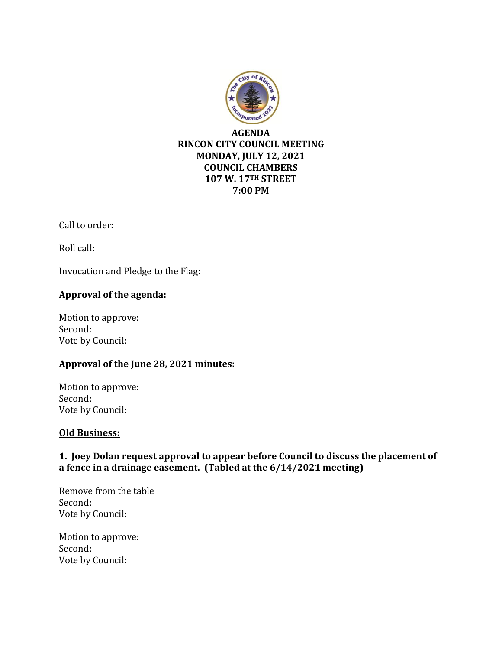

Call to order:

Roll call:

Invocation and Pledge to the Flag:

#### **Approval of the agenda:**

Motion to approve: Second: Vote by Council:

#### **Approval of the June 28, 2021 minutes:**

Motion to approve: Second: Vote by Council:

#### **Old Business:**

## **1. Joey Dolan request approval to appear before Council to discuss the placement of a fence in a drainage easement. (Tabled at the 6/14/2021 meeting)**

Remove from the table Second: Vote by Council:

Motion to approve: Second: Vote by Council: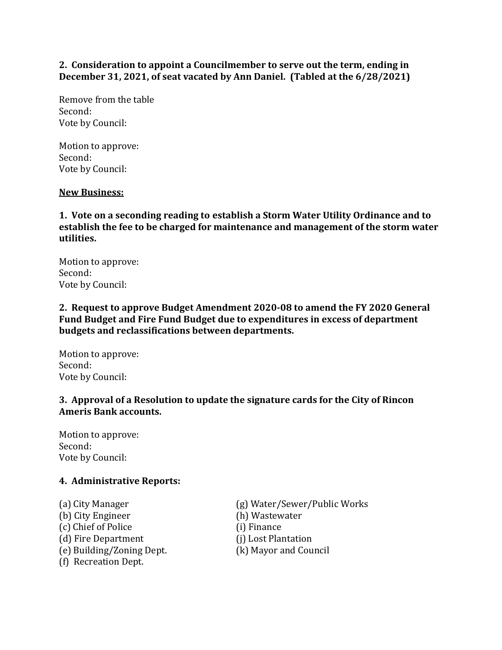**2. Consideration to appoint a Councilmember to serve out the term, ending in December 31, 2021, of seat vacated by Ann Daniel. (Tabled at the 6/28/2021)**

Remove from the table Second: Vote by Council:

Motion to approve: Second: Vote by Council:

#### **New Business:**

**1. Vote on a seconding reading to establish a Storm Water Utility Ordinance and to establish the fee to be charged for maintenance and management of the storm water utilities.**

Motion to approve: Second: Vote by Council:

**2. Request to approve Budget Amendment 2020-08 to amend the FY 2020 General Fund Budget and Fire Fund Budget due to expenditures in excess of department budgets and reclassifications between departments.** 

Motion to approve: Second: Vote by Council:

#### **3. Approval of a Resolution to update the signature cards for the City of Rincon Ameris Bank accounts.**

Motion to approve: Second: Vote by Council:

#### **4. Administrative Reports:**

(b) City Engineer (h) Wastewater (c) Chief of Police (i) Finance (d) Fire Department (j) Lost Plantation (e) Building/Zoning Dept. (k) Mayor and Council (f) Recreation Dept.

(a) City Manager (g) Water/Sewer/Public Works

- 
- 
- 
-